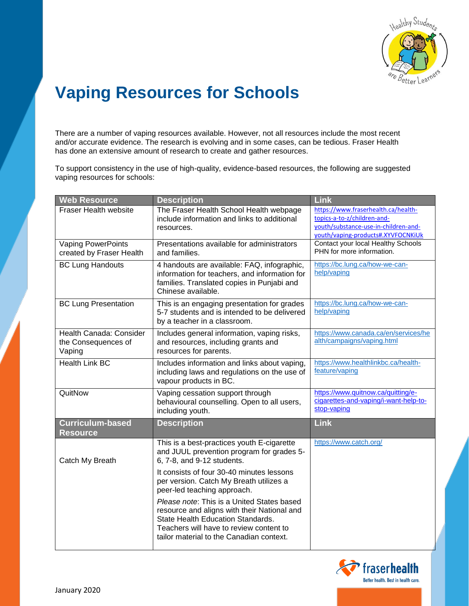

## **Vaping Resources for Schools**

There are a number of vaping resources available. However, not all resources include the most recent and/or accurate evidence. The research is evolving and in some cases, can be tedious. Fraser Health has done an extensive amount of research to create and gather resources.

To support consistency in the use of high-quality, evidence-based resources, the following are suggested vaping resources for schools:

| <b>Web Resource</b>                                      | <b>Description</b>                                                                                                                                                                                                                                                                                                                                                                                                                                                    | Link                                                                                                                                             |
|----------------------------------------------------------|-----------------------------------------------------------------------------------------------------------------------------------------------------------------------------------------------------------------------------------------------------------------------------------------------------------------------------------------------------------------------------------------------------------------------------------------------------------------------|--------------------------------------------------------------------------------------------------------------------------------------------------|
| Fraser Health website                                    | The Fraser Health School Health webpage<br>include information and links to additional<br>resources.                                                                                                                                                                                                                                                                                                                                                                  | https://www.fraserhealth.ca/health-<br>topics-a-to-z/children-and-<br>youth/substance-use-in-children-and-<br>youth/vaping-products#.XYVFOCNKiUk |
| <b>Vaping PowerPoints</b><br>created by Fraser Health    | Presentations available for administrators<br>and families.                                                                                                                                                                                                                                                                                                                                                                                                           | Contact your local Healthy Schools<br>PHN for more information.                                                                                  |
| <b>BC Lung Handouts</b>                                  | 4 handouts are available: FAQ, infographic,<br>information for teachers, and information for<br>families. Translated copies in Punjabi and<br>Chinese available.                                                                                                                                                                                                                                                                                                      | https://bc.lung.ca/how-we-can-<br>help/vaping                                                                                                    |
| <b>BC Lung Presentation</b>                              | This is an engaging presentation for grades<br>5-7 students and is intended to be delivered<br>by a teacher in a classroom.                                                                                                                                                                                                                                                                                                                                           | https://bc.lung.ca/how-we-can-<br>help/vaping                                                                                                    |
| Health Canada: Consider<br>the Consequences of<br>Vaping | Includes general information, vaping risks,<br>and resources, including grants and<br>resources for parents.                                                                                                                                                                                                                                                                                                                                                          | https://www.canada.ca/en/services/he<br>alth/campaigns/vaping.html                                                                               |
| <b>Health Link BC</b>                                    | Includes information and links about vaping,<br>including laws and regulations on the use of<br>vapour products in BC.                                                                                                                                                                                                                                                                                                                                                | https://www.healthlinkbc.ca/health-<br>feature/vaping                                                                                            |
| QuitNow                                                  | Vaping cessation support through<br>behavioural counselling. Open to all users,<br>including youth.                                                                                                                                                                                                                                                                                                                                                                   | https://www.quitnow.ca/quitting/e-<br>cigarettes-and-vaping/i-want-help-to-<br>stop-vaping                                                       |
| Curriculum-based<br><b>Resource</b>                      | <b>Description</b>                                                                                                                                                                                                                                                                                                                                                                                                                                                    | <b>Link</b>                                                                                                                                      |
| Catch My Breath                                          | This is a best-practices youth E-cigarette<br>and JUUL prevention program for grades 5-<br>6, 7-8, and 9-12 students.<br>It consists of four 30-40 minutes lessons<br>per version. Catch My Breath utilizes a<br>peer-led teaching approach.<br>Please note: This is a United States based<br>resource and aligns with their National and<br>State Health Education Standards.<br>Teachers will have to review content to<br>tailor material to the Canadian context. | https://www.catch.org/                                                                                                                           |